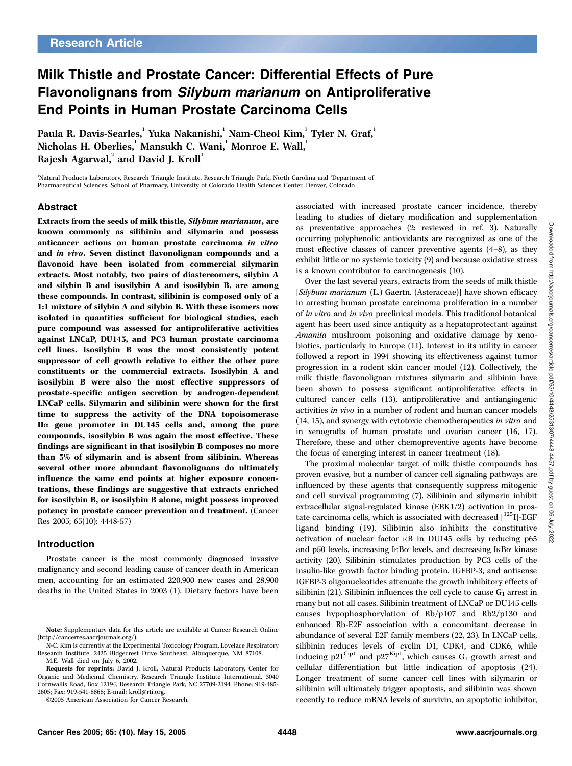# Milk Thistle and Prostate Cancer: Differential Effects of Pure Flavonolignans from Silybum marianum on Antiproliferative End Points in Human Prostate Carcinoma Cells

Paula R. Davis-Searles, <sup>'</sup>Yuka Nakanishi, <sup>'</sup> Nam-Cheol Kim, <sup>'</sup> Tyler N. Graf, ' Nicholas H. Oberlies, Mansukh C. Wani, Monroe E. Wall,  $^1$ Rajesh Agarwal, $^{\rm 2}$  and David J. Kroll $^{\rm 1}$ 

'Natural Products Laboratory, Research Triangle Institute, Research Triangle Park, North Carolina and 'Department of Pharmaceutical Sciences, School of Pharmacy, University of Colorado Health Sciences Center, Denver, Colorado

# Abstract

Extracts from the seeds of milk thistle, Silybum marianum, are known commonly as silibinin and silymarin and possess anticancer actions on human prostate carcinoma in vitro and in vivo. Seven distinct flavonolignan compounds and a flavonoid have been isolated from commercial silymarin extracts. Most notably, two pairs of diastereomers, silybin A and silybin B and isosilybin A and isosilybin B, are among these compounds. In contrast, silibinin is composed only of a 1:1 mixture of silybin A and silybin B. With these isomers now isolated in quantities sufficient for biological studies, each pure compound was assessed for antiproliferative activities against LNCaP, DU145, and PC3 human prostate carcinoma cell lines. Isosilybin B was the most consistently potent suppressor of cell growth relative to either the other pure constituents or the commercial extracts. Isosilybin A and isosilybin B were also the most effective suppressors of prostate-specific antigen secretion by androgen-dependent LNCaP cells. Silymarin and silibinin were shown for the first time to suppress the activity of the DNA topoisomerase  $II\alpha$  gene promoter in DU145 cells and, among the pure compounds, isosilybin B was again the most effective. These findings are significant in that isosilybin B composes no more than 5% of silymarin and is absent from silibinin. Whereas several other more abundant flavonolignans do ultimately influence the same end points at higher exposure concentrations, these findings are suggestive that extracts enriched for isosilybin B, or isosilybin B alone, might possess improved potency in prostate cancer prevention and treatment. (Cancer Res 2005; 65(10): 4448-57)

# Introduction

Prostate cancer is the most commonly diagnosed invasive malignancy and second leading cause of cancer death in American men, accounting for an estimated 220,900 new cases and 28,900 deaths in the United States in 2003 (1). Dietary factors have been

©2005 American Association for Cancer Research.

associated with increased prostate cancer incidence, thereby leading to studies of dietary modification and supplementation as preventative approaches (2; reviewed in ref. 3). Naturally occurring polyphenolic antioxidants are recognized as one of the most effective classes of cancer preventive agents (4–8), as they exhibit little or no systemic toxicity (9) and because oxidative stress is a known contributor to carcinogenesis (10).

Over the last several years, extracts from the seeds of milk thistle [Silybum marianum (L.) Gaertn. (Asteraceae)] have shown efficacy in arresting human prostate carcinoma proliferation in a number of in vitro and in vivo preclinical models. This traditional botanical agent has been used since antiquity as a hepatoprotectant against Amanita mushroom poisoning and oxidative damage by xenobiotics, particularly in Europe (11). Interest in its utility in cancer followed a report in 1994 showing its effectiveness against tumor progression in a rodent skin cancer model (12). Collectively, the milk thistle flavonolignan mixtures silymarin and silibinin have been shown to possess significant antiproliferative effects in cultured cancer cells (13), antiproliferative and antiangiogenic activities in vivo in a number of rodent and human cancer models (14, 15), and synergy with cytotoxic chemotherapeutics in vitro and in xenografts of human prostate and ovarian cancer (16, 17). Therefore, these and other chemopreventive agents have become the focus of emerging interest in cancer treatment (18).

The proximal molecular target of milk thistle compounds has proven evasive, but a number of cancer cell signaling pathways are influenced by these agents that consequently suppress mitogenic and cell survival programming (7). Silibinin and silymarin inhibit extracellular signal-regulated kinase (ERK1/2) activation in prostate carcinoma cells, which is associated with decreased  $[^{125}I]$ -EGF ligand binding (19). Silibinin also inhibits the constitutive activation of nuclear factor  $\kappa$ B in DU145 cells by reducing p65 and p50 levels, increasing  $I \kappa B\alpha$  levels, and decreasing  $I \kappa B\alpha$  kinase activity (20). Silibinin stimulates production by PC3 cells of the insulin-like growth factor binding protein, IGFBP-3, and antisense IGFBP-3 oligonucleotides attenuate the growth inhibitory effects of silibinin (21). Silibinin influences the cell cycle to cause  $G_1$  arrest in many but not all cases. Silibinin treatment of LNCaP or DU145 cells causes hypophosphorylation of Rb/p107 and Rb2/p130 and enhanced Rb-E2F association with a concomitant decrease in abundance of several E2F family members (22, 23). In LNCaP cells, silibinin reduces levels of cyclin D1, CDK4, and CDK6, while inducing  $p21^C^{ip1}$  and  $p27^{Kip1}$ , which causes  $G_1$  growth arrest and cellular differentiation but little indication of apoptosis (24). Longer treatment of some cancer cell lines with silymarin or silibinin will ultimately trigger apoptosis, and silibinin was shown recently to reduce mRNA levels of survivin, an apoptotic inhibitor,

Note: Supplementary data for this article are available at Cancer Research Online (http://cancerres.aacrjournals.org/).

N-C. Kim is currently at the Experimental Toxicology Program, Lovelace Respiratory Research Institute, 2425 Ridgecrest Drive Southeast, Albuquerque, NM 87108. M.E. Wall died on July 6, 2002.

Requests for reprints: David J. Kroll, Natural Products Laboratory, Center for Organic and Medicinal Chemistry, Research Triangle Institute International, 3040 Cornwallis Road, Box 12194, Research Triangle Park, NC 27709-2194. Phone: 919-485- 2605; Fax: 919-541-8868; E-mail: kroll@rti.org.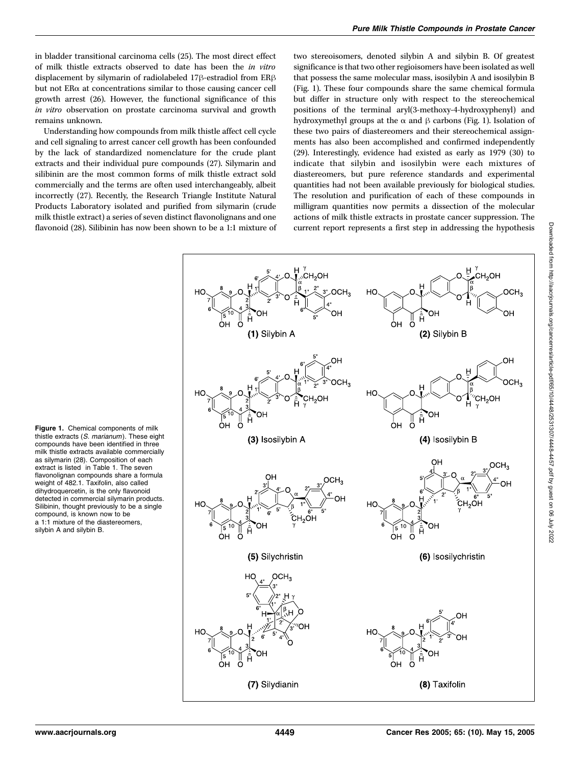in bladder transitional carcinoma cells (25). The most direct effect of milk thistle extracts observed to date has been the in vitro displacement by silymarin of radiolabeled 17 $\beta$ -estradiol from ER $\beta$ but not ERa at concentrations similar to those causing cancer cell growth arrest (26). However, the functional significance of this in vitro observation on prostate carcinoma survival and growth remains unknown.

Understanding how compounds from milk thistle affect cell cycle and cell signaling to arrest cancer cell growth has been confounded by the lack of standardized nomenclature for the crude plant extracts and their individual pure compounds (27). Silymarin and silibinin are the most common forms of milk thistle extract sold commercially and the terms are often used interchangeably, albeit incorrectly (27). Recently, the Research Triangle Institute Natural Products Laboratory isolated and purified from silymarin (crude milk thistle extract) a series of seven distinct flavonolignans and one flavonoid (28). Silibinin has now been shown to be a 1:1 mixture of two stereoisomers, denoted silybin A and silybin B. Of greatest significance is that two other regioisomers have been isolated as well that possess the same molecular mass, isosilybin A and isosilybin B (Fig. 1). These four compounds share the same chemical formula but differ in structure only with respect to the stereochemical positions of the terminal aryl(3-methoxy-4-hydroxyphenyl) and hydroxymethyl groups at the  $\alpha$  and  $\beta$  carbons (Fig. 1). Isolation of these two pairs of diastereomers and their stereochemical assignments has also been accomplished and confirmed independently (29). Interestingly, evidence had existed as early as 1979 (30) to indicate that silybin and isosilybin were each mixtures of diastereomers, but pure reference standards and experimental quantities had not been available previously for biological studies. The resolution and purification of each of these compounds in milligram quantities now permits a dissection of the molecular actions of milk thistle extracts in prostate cancer suppression. The current report represents a first step in addressing the hypothesis



Figure 1. Chemical components of milk thistle extracts (S. marianum). These eight compounds have been identified in three milk thistle extracts available commercially as silymarin (28). Composition of each extract is listed in Table 1. The seven flavonolignan compounds share a formula weight of 482.1. Taxifolin, also called dihydroquercetin, is the only flavonoid detected in commercial silymarin products. Silibinin, thought previously to be a single compound, is known now to be a 1:1 mixture of the diastereomers, silybin A and silybin B.

Downloaded from http://aacrjournals.org/cancerres/article-pdf/65/10/4448/2531307/4448-4457.pdf by guest on 06 July 2022 Downloaded from http://aacrjournals.org/cancerres/article-pdf/65/10/4448/2531307/4448-4457.pdf by guest on 06 July 2022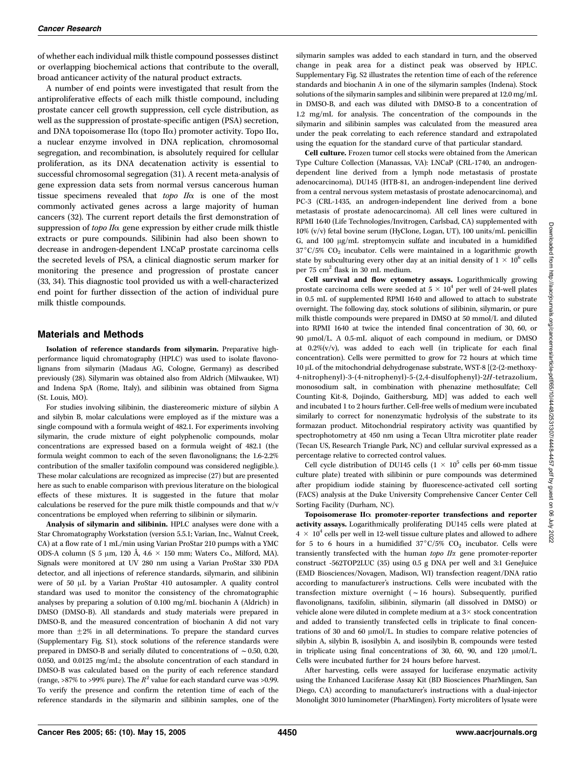of whether each individual milk thistle compound possesses distinct or overlapping biochemical actions that contribute to the overall, broad anticancer activity of the natural product extracts.

A number of end points were investigated that result from the antiproliferative effects of each milk thistle compound, including prostate cancer cell growth suppression, cell cycle distribution, as well as the suppression of prostate-specific antigen (PSA) secretion, and DNA topoisomerase II $\alpha$  (topo II $\alpha$ ) promoter activity. Topo II $\alpha$ , a nuclear enzyme involved in DNA replication, chromosomal segregation, and recombination, is absolutely required for cellular proliferation, as its DNA decatenation activity is essential to successful chromosomal segregation (31). A recent meta-analysis of gene expression data sets from normal versus cancerous human tissue specimens revealed that  $topo$   $I/\alpha$  is one of the most commonly activated genes across a large majority of human cancers (32). The current report details the first demonstration of suppression of topo II $\alpha$  gene expression by either crude milk thistle extracts or pure compounds. Silibinin had also been shown to decrease in androgen-dependent LNCaP prostate carcinoma cells the secreted levels of PSA, a clinical diagnostic serum marker for monitoring the presence and progression of prostate cancer (33, 34). This diagnostic tool provided us with a well-characterized end point for further dissection of the action of individual pure milk thistle compounds.

# Materials and Methods

Isolation of reference standards from silymarin. Preparative highperformance liquid chromatography (HPLC) was used to isolate flavonolignans from silymarin (Madaus AG, Cologne, Germany) as described previously (28). Silymarin was obtained also from Aldrich (Milwaukee, WI) and Indena SpA (Rome, Italy), and silibinin was obtained from Sigma (St. Louis, MO).

For studies involving silibinin, the diastereomeric mixture of silybin A and silybin B, molar calculations were employed as if the mixture was a single compound with a formula weight of 482.1. For experiments involving silymarin, the crude mixture of eight polyphenolic compounds, molar concentrations are expressed based on a formula weight of 482.1 (the formula weight common to each of the seven flavonolignans; the 1.6-2.2% contribution of the smaller taxifolin compound was considered negligible.). These molar calculations are recognized as imprecise (27) but are presented here as such to enable comparison with previous literature on the biological effects of these mixtures. It is suggested in the future that molar calculations be reserved for the pure milk thistle compounds and that w/v concentrations be employed when referring to silibinin or silymarin.

Analysis of silymarin and silibinin. HPLC analyses were done with a Star Chromatography Workstation (version 5.5.1; Varian, Inc., Walnut Creek, CA) at a flow rate of 1 mL/min using Varian ProStar 210 pumps with a YMC ODS-A column (S 5 µm, 120 Å, 4.6  $\times$  150 mm; Waters Co., Milford, MA). Signals were monitored at UV 280 nm using a Varian ProStar 330 PDA detector, and all injections of reference standards, silymarin, and silibinin were of 50 µL by a Varian ProStar 410 autosampler. A quality control standard was used to monitor the consistency of the chromatographic analyses by preparing a solution of 0.100 mg/mL biochanin A (Aldrich) in DMSO (DMSO-B). All standards and study materials were prepared in DMSO-B, and the measured concentration of biochanin A did not vary more than  $\pm 2\%$  in all determinations. To prepare the standard curves (Supplementary Fig. S1), stock solutions of the reference standards were prepared in DMSO-B and serially diluted to concentrations of  $\sim$  0.50, 0.20, 0.050, and 0.0125 mg/mL; the absolute concentration of each standard in DMSO-B was calculated based on the purity of each reference standard (range, >87% to >99% pure). The  $R^2$  value for each standard curve was >0.99. To verify the presence and confirm the retention time of each of the reference standards in the silymarin and silibinin samples, one of the

silymarin samples was added to each standard in turn, and the observed change in peak area for a distinct peak was observed by HPLC. Supplementary Fig. S2 illustrates the retention time of each of the reference standards and biochanin A in one of the silymarin samples (Indena). Stock solutions of the silymarin samples and silibinin were prepared at 12.0 mg/mL in DMSO-B, and each was diluted with DMSO-B to a concentration of 1.2 mg/mL for analysis. The concentration of the compounds in the silymarin and silibinin samples was calculated from the measured area under the peak correlating to each reference standard and extrapolated using the equation for the standard curve of that particular standard.

Cell culture. Frozen tumor cell stocks were obtained from the American Type Culture Collection (Manassas, VA): LNCaP (CRL-1740, an androgendependent line derived from a lymph node metastasis of prostate adenocarcinoma), DU145 (HTB-81, an androgen-independent line derived from a central nervous system metastasis of prostate adenocarcinoma), and PC-3 (CRL-1435, an androgen-independent line derived from a bone metastasis of prostate adenocarcinoma). All cell lines were cultured in RPMI 1640 (Life Technologies/Invitrogen, Carlsbad, CA) supplemented with 10% (v/v) fetal bovine serum (HyClone, Logan, UT), 100 units/mL penicillin G, and  $100 \mu g/mL$  streptomycin sulfate and incubated in a humidified  $37^{\circ}$ C/5% CO<sub>2</sub> incubator. Cells were maintained in a logarithmic growth state by subculturing every other day at an initial density of  $1 \times 10^6$  cells per 75 cm<sup>2</sup> flask in 30 mL medium.

Cell survival and flow cytometry assays. Logarithmically growing prostate carcinoma cells were seeded at  $5 \times 10^4$  per well of 24-well plates in 0.5 mL of supplemented RPMI 1640 and allowed to attach to substrate overnight. The following day, stock solutions of silibinin, silymarin, or pure milk thistle compounds were prepared in DMSO at 50 mmol/L and diluted into RPMI 1640 at twice the intended final concentration of 30, 60, or 90 µmol/L. A 0.5-mL aliquot of each compound in medium, or DMSO at 0.2%(v/v), was added to each well (in triplicate for each final concentration). Cells were permitted to grow for 72 hours at which time 10 µL of the mitochondrial dehydrogenase substrate, WST-8 [(2-(2-methoxy-4-nitrophenyl)-3-(4-nitrophenyl)-5-(2,4-disulfophenyl)-2H-tetrazolium, monosodium salt, in combination with phenazine methosulfate; Cell Counting Kit-8, Dojindo, Gaithersburg, MD] was added to each well and incubated 1 to 2 hours further. Cell-free wells of medium were incubated similarly to correct for nonenzymatic hydrolysis of the substrate to its formazan product. Mitochondrial respiratory activity was quantified by spectrophotometry at 450 nm using a Tecan Ultra microtiter plate reader (Tecan US, Research Triangle Park, NC) and cellular survival expressed as a percentage relative to corrected control values.

Cell cycle distribution of DU145 cells  $(1 \times 10^5 \text{ cells per } 60 \text{--} \text{mm}$  tissue culture plate) treated with silibinin or pure compounds was determined after propidium iodide staining by fluorescence-activated cell sorting (FACS) analysis at the Duke University Comprehensive Cancer Center Cell Sorting Facility (Durham, NC).

Topoisomerase  $II\alpha$  promoter-reporter transfections and reporter activity assays. Logarithmically proliferating DU145 cells were plated at  $4 \times 10^4$  cells per well in 12-well tissue culture plates and allowed to adhere for 5 to 6 hours in a humidified  $37^{\circ}$ C/5% CO<sub>2</sub> incubator. Cells were transiently transfected with the human  $topo$   $II\alpha$  gene promoter-reporter construct -562TOP2LUC (35) using 0.5 g DNA per well and 3:1 GeneJuice (EMD Biosciences/Novagen, Madison, WI) transfection reagent/DNA ratio according to manufacturer's instructions. Cells were incubated with the transfection mixture overnight  $(-16$  hours). Subsequently, purified flavonolignans, taxifolin, silibinin, silymarin (all dissolved in DMSO) or vehicle alone were diluted in complete medium at a  $3\times$  stock concentration and added to transiently transfected cells in triplicate to final concentrations of 30 and 60  $\mu$ mol/L. In studies to compare relative potencies of silybin A, silybin B, isosilybin A, and isosilybin B, compounds were tested in triplicate using final concentrations of 30, 60, 90, and 120  $\mu$ mol/L. Cells were incubated further for 24 hours before harvest.

After harvesting, cells were assayed for luciferase enzymatic activity using the Enhanced Luciferase Assay Kit (BD Biosciences PharMingen, San Diego, CA) according to manufacturer's instructions with a dual-injector Monolight 3010 luminometer (PharMingen). Forty microliters of lysate were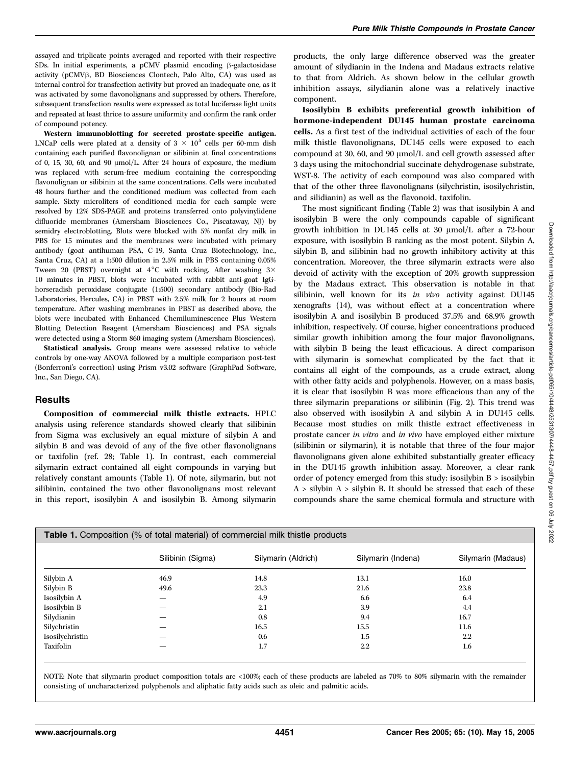assayed and triplicate points averaged and reported with their respective SDs. In initial experiments, a pCMV plasmid encoding  $\beta$ -galactosidase activity (pCMV<sub>B</sub>, BD Biosciences Clontech, Palo Alto, CA) was used as internal control for transfection activity but proved an inadequate one, as it was activated by some flavonolignans and suppressed by others. Therefore, subsequent transfection results were expressed as total luciferase light units and repeated at least thrice to assure uniformity and confirm the rank order of compound potency.

Western immunoblotting for secreted prostate-specific antigen. LNCaP cells were plated at a density of  $3 \times 10^5$  cells per 60-mm dish containing each purified flavonolignan or silibinin at final concentrations of 0, 15, 30, 60, and 90  $\mu$ mol/L. After 24 hours of exposure, the medium was replaced with serum-free medium containing the corresponding flavonolignan or silibinin at the same concentrations. Cells were incubated 48 hours further and the conditioned medium was collected from each sample. Sixty microliters of conditioned media for each sample were resolved by 12% SDS-PAGE and proteins transferred onto polyvinylidene difluoride membranes (Amersham Biosciences Co., Piscataway, NJ) by semidry electroblotting. Blots were blocked with 5% nonfat dry milk in PBS for 15 minutes and the membranes were incubated with primary antibody (goat antihuman PSA, C-19, Santa Cruz Biotechnology, Inc., Santa Cruz, CA) at a 1:500 dilution in 2.5% milk in PBS containing 0.05% Tween 20 (PBST) overnight at  $4^{\circ}$ C with rocking. After washing  $3\times$ 10 minutes in PBST, blots were incubated with rabbit anti-goat IgGhorseradish peroxidase conjugate (1:500) secondary antibody (Bio-Rad Laboratories, Hercules, CA) in PBST with 2.5% milk for 2 hours at room temperature. After washing membranes in PBST as described above, the blots were incubated with Enhanced Chemiluminescence Plus Western Blotting Detection Reagent (Amersham Biosciences) and PSA signals were detected using a Storm 860 imaging system (Amersham Biosciences).

Statistical analysis. Group means were assessed relative to vehicle controls by one-way ANOVA followed by a multiple comparison post-test (Bonferroni's correction) using Prism v3.02 software (GraphPad Software, Inc., San Diego, CA).

#### **Results**

Composition of commercial milk thistle extracts. HPLC analysis using reference standards showed clearly that silibinin from Sigma was exclusively an equal mixture of silybin A and silybin B and was devoid of any of the five other flavonolignans or taxifolin (ref. 28; Table 1). In contrast, each commercial silymarin extract contained all eight compounds in varying but relatively constant amounts (Table 1). Of note, silymarin, but not silibinin, contained the two other flavonolignans most relevant in this report, isosilybin A and isosilybin B. Among silymarin products, the only large difference observed was the greater amount of silydianin in the Indena and Madaus extracts relative to that from Aldrich. As shown below in the cellular growth inhibition assays, silydianin alone was a relatively inactive component.

Isosilybin B exhibits preferential growth inhibition of hormone-independent DU145 human prostate carcinoma cells. As a first test of the individual activities of each of the four milk thistle flavonolignans, DU145 cells were exposed to each compound at 30, 60, and 90  $\mu$ mol/L and cell growth assessed after 3 days using the mitochondrial succinate dehydrogenase substrate, WST-8. The activity of each compound was also compared with that of the other three flavonolignans (silychristin, isosilychristin, and silidianin) as well as the flavonoid, taxifolin.

The most significant finding (Table 2) was that isosilybin A and isosilybin B were the only compounds capable of significant growth inhibition in DU145 cells at 30  $\mu$ mol/L after a 72-hour exposure, with isosilybin B ranking as the most potent. Silybin A, silybin B, and silibinin had no growth inhibitory activity at this concentration. Moreover, the three silymarin extracts were also devoid of activity with the exception of 20% growth suppression by the Madaus extract. This observation is notable in that silibinin, well known for its in vivo activity against DU145 xenografts (14), was without effect at a concentration where isosilybin A and isosilybin B produced 37.5% and 68.9% growth inhibition, respectively. Of course, higher concentrations produced similar growth inhibition among the four major flavonolignans, with silybin B being the least efficacious. A direct comparison with silymarin is somewhat complicated by the fact that it contains all eight of the compounds, as a crude extract, along with other fatty acids and polyphenols. However, on a mass basis, it is clear that isosilybin B was more efficacious than any of the three silymarin preparations or silibinin (Fig. 2). This trend was also observed with isosilybin A and silybin A in DU145 cells. Because most studies on milk thistle extract effectiveness in prostate cancer in vitro and in vivo have employed either mixture (silibinin or silymarin), it is notable that three of the four major flavonolignans given alone exhibited substantially greater efficacy in the DU145 growth inhibition assay. Moreover, a clear rank order of potency emerged from this study: isosilybin B > isosilybin A > silybin A > silybin B. It should be stressed that each of these compounds share the same chemical formula and structure with

|                 | <b>Table 1.</b> Composition (% of total material) of commercial milk thistle products |                     |                    |                    |
|-----------------|---------------------------------------------------------------------------------------|---------------------|--------------------|--------------------|
|                 | Silibinin (Sigma)                                                                     | Silymarin (Aldrich) | Silymarin (Indena) | Silymarin (Madaus) |
| Silybin A       | 46.9                                                                                  | 14.8                | 13.1               | 16.0               |
| Silybin B       | 49.6                                                                                  | 23.3                | 21.6               | 23.8               |
| Isosilybin A    |                                                                                       | 4.9                 | 6.6                | 6.4                |
| Isosilybin B    |                                                                                       | 2.1                 | 3.9                | 4.4                |
| Silydianin      |                                                                                       | 0.8                 | 9.4                | 16.7               |
| Silychristin    |                                                                                       | 16.5                | 15.5               | 11.6               |
| Isosilychristin |                                                                                       | 0.6                 | $1.5\,$            | $2.2\,$            |
| Taxifolin       |                                                                                       | 1.7                 | $2.2\,$            | 1.6                |

NOTE: Note that silymarin product composition totals are <100%; each of these products are labeled as 70% to 80% silymarin with the remainder consisting of uncharacterized polyphenols and aliphatic fatty acids such as oleic and palmitic acids.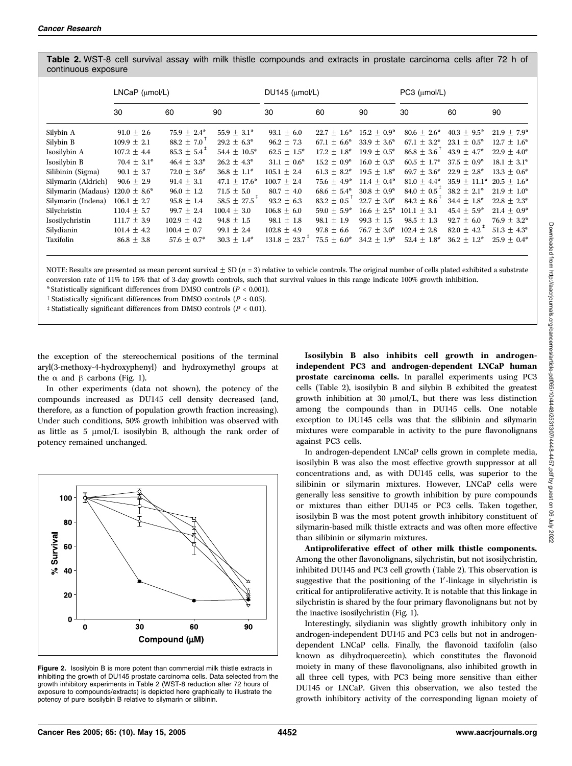Table 2. WST-8 cell survival assay with milk thistle compounds and extracts in prostate carcinoma cells after 72 h of continuous exposure

|                     | $LNCaP$ ( $\mu$ mol/L) |                             | DU145 ( $\mu$ mol/L)         |                               | $PC3$ ( $\mu$ mol/L) |                  |                             |                             |                  |
|---------------------|------------------------|-----------------------------|------------------------------|-------------------------------|----------------------|------------------|-----------------------------|-----------------------------|------------------|
|                     | 30                     | 60                          | 90                           | 30                            | 60                   | 90               | 30                          | 60                          | 90               |
| Silybin A           | $91.0 \pm 2.6$         | $75.9 \pm 2.4^*$            | $55.9 + 3.1^*$               | $93.1 + 6.0$                  | $22.7 + 1.6^*$       | $15.2 + 0.9^*$   | $80.6 \pm 2.6^*$            | $40.3 + 9.5^*$              | $21.9 \pm 7.9^*$ |
| Silybin B           | $109.9 \pm 2.1$        | $88.2 \pm 7.0$              | $29.2 \pm 6.3^*$             | $96.2 \pm 7.3$                | $67.1 + 6.6^*$       | $33.9 + 3.6^*$   | $67.1 \pm 3.2^*$            | $23.1 + 0.5^*$              | $12.7 + 1.6^*$   |
| Isosilybin A        | $107.2 \pm 4.4$        | $85.3 \pm 5.4$ <sup>+</sup> | 54.4 $\pm$ 10.5*             | $62.5 + 1.5^*$                | $17.2 + 1.8^*$       | $19.9 + 0.5^*$   | $86.8 \pm 3.6$              | $43.9 + 4.7^*$              | $22.9 + 4.0^*$   |
| Isosilybin B        | $70.4 \pm 3.1^*$       | $46.4 \pm 3.3^*$            | $26.2 \pm 4.3^*$             | $31.1 \pm 0.6^*$              | $15.2 \pm 0.9^*$     | $16.0 + 0.3^*$   | $60.5 \pm 1.7^*$            | $37.5 + 0.9^*$              | $18.1 \pm 3.1^*$ |
| Silibinin (Sigma)   | 90.1 $\pm$ 3.7         | $72.0 \pm 3.6^*$            | $36.8 \pm 1.1^*$             | $105.1 + 2.4$                 | $61.3 + 8.2^*$       | $19.5 + 1.8^*$   | $69.7 + 3.6^*$              | $22.9 + 2.8^*$              | $13.3 \pm 0.6^*$ |
| Silymarin (Aldrich) | $90.6 \pm 2.9$         | $91.4 \pm 3.1$              | $47.1 \pm 17.6^*$            | $100.7 + 2.4$                 | $75.6 + 4.9^*$       | $11.4 + 0.4*$    | $81.0 \pm 4.4^*$            | $35.9 + 11.1^*$             | $20.5 + 1.6^*$   |
| Silymarin (Madaus)  | $120.0 \pm 8.6^*$      | $96.0 \pm 1.2$              | $71.5 \pm 5.0$               | $80.7 + 4.0$                  | $68.6 \pm 5.4^*$     | $30.8 + 0.9^*$   | $84.0 \pm 0.5$ <sup>+</sup> | $38.2 + 2.1^*$              | $21.9 + 1.0^*$   |
| Silymarin (Indena)  | $106.1 \pm 2.7$        | $95.8 \pm 1.4$              | $58.5 \pm 27.5$ <sup>T</sup> | $93.2 + 6.3$                  | $83.2 \pm 0.5$       | $22.7 + 3.0^*$   | $84.2 + 8.6^{+}$            | $34.4 \pm 1.8^*$            | $22.8 + 2.3^*$   |
| Silychristin        | $110.4 \pm 5.7$        | 99.7 $\pm$ 2.4              | $100.4 \pm 3.0$              | $106.8 \pm 6.0$               | $59.0 \pm 5.9^*$     | $16.6 \pm 2.5^*$ | $101.1 + 3.1$               | $45.4 + 5.9^*$              | $21.4 \pm 0.9^*$ |
| Isosilychristin     | $111.7 \pm 3.9$        | $102.9 \pm 4.2$             | 94.8 $\pm$ 1.5               | $98.1 + 1.8$                  | $98.1 + 1.9$         | $99.3 + 1.5$     | $98.5 + 1.3$                | $92.7 + 6.0$                | $76.9 + 3.2^*$   |
| Silydianin          | $101.4 \pm 4.2$        | $100.4 \pm 0.7$             | 99.1 $\pm$ 2.4               | $102.8 \pm 4.9$               | $97.8 \pm 6.6$       | $76.7 \pm 3.0^*$ | $102.4 \pm 2.8$             | $82.0 \pm 4.2$ <sup>+</sup> | $51.3 \pm 4.3^*$ |
| Taxifolin           | $86.8 \pm 3.8$         | $57.6 \pm 0.7^*$            | $30.3 \pm 1.4^*$             | $131.8 \pm 23.7$ <sup>+</sup> | $75.5 \pm 6.0^*$     | $34.2 + 1.9^*$   | $52.4 + 1.8^*$              | $36.2 + 1.2^*$              | $25.9 + 0.4^*$   |

NOTE: Results are presented as mean percent survival  $\pm$  SD (n = 3) relative to vehicle controls. The original number of cells plated exhibited a substrate conversion rate of 11% to 15% that of 3-day growth controls, such that survival values in this range indicate 100% growth inhibition.

\* Statistically significant differences from DMSO controls ( $P < 0.001$ ).

 $\uparrow$  Statistically significant differences from DMSO controls ( $P < 0.05$ ).

 $\ddagger$  Statistically significant differences from DMSO controls ( $P < 0.01$ ).

the exception of the stereochemical positions of the terminal aryl(3-methoxy-4-hydroxyphenyl) and hydroxymethyl groups at the  $\alpha$  and  $\beta$  carbons (Fig. 1).

In other experiments (data not shown), the potency of the compounds increased as DU145 cell density decreased (and, therefore, as a function of population growth fraction increasing). Under such conditions, 50% growth inhibition was observed with as little as  $5 \text{ }\mu\text{mol/L}$  isosilybin B, although the rank order of potency remained unchanged.



Figure 2. Isosilybin B is more potent than commercial milk thistle extracts in inhibiting the growth of DU145 prostate carcinoma cells. Data selected from the growth inhibitory experiments in Table 2 (WST-8 reduction after 72 hours of exposure to compounds/extracts) is depicted here graphically to illustrate the potency of pure isosilybin B relative to silymarin or silibinin.

Isosilybin B also inhibits cell growth in androgenindependent PC3 and androgen-dependent LNCaP human prostate carcinoma cells. In parallel experiments using PC3 cells (Table 2), isosilybin B and silybin B exhibited the greatest growth inhibition at 30  $\mu$ mol/L, but there was less distinction among the compounds than in DU145 cells. One notable exception to DU145 cells was that the silibinin and silymarin mixtures were comparable in activity to the pure flavonolignans against PC3 cells.

In androgen-dependent LNCaP cells grown in complete media, isosilybin B was also the most effective growth suppressor at all concentrations and, as with DU145 cells, was superior to the silibinin or silymarin mixtures. However, LNCaP cells were generally less sensitive to growth inhibition by pure compounds or mixtures than either DU145 or PC3 cells. Taken together, isosilybin B was the most potent growth inhibitory constituent of silymarin-based milk thistle extracts and was often more effective than silibinin or silymarin mixtures.

Antiproliferative effect of other milk thistle components. Among the other flavonolignans, silychristin, but not isosilychristin, inhibited DU145 and PC3 cell growth (Table 2). This observation is suggestive that the positioning of the 1'-linkage in silychristin is critical for antiproliferative activity. It is notable that this linkage in silychristin is shared by the four primary flavonolignans but not by the inactive isosilychristin (Fig. 1).

Interestingly, silydianin was slightly growth inhibitory only in androgen-independent DU145 and PC3 cells but not in androgendependent LNCaP cells. Finally, the flavonoid taxifolin (also known as dihydroquercetin), which constitutes the flavonoid moiety in many of these flavonolignans, also inhibited growth in all three cell types, with PC3 being more sensitive than either DU145 or LNCaP. Given this observation, we also tested the growth inhibitory activity of the corresponding lignan moiety of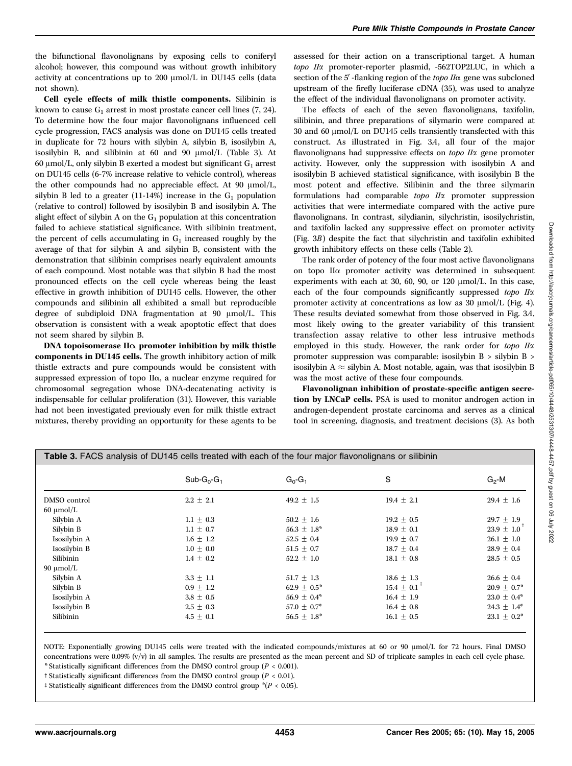the bifunctional flavonolignans by exposing cells to coniferyl alcohol; however, this compound was without growth inhibitory activity at concentrations up to 200 µmol/L in DU145 cells (data not shown).

Cell cycle effects of milk thistle components. Silibinin is known to cause  $G_1$  arrest in most prostate cancer cell lines (7, 24). To determine how the four major flavonolignans influenced cell cycle progression, FACS analysis was done on DU145 cells treated in duplicate for 72 hours with silybin A, silybin B, isosilybin A, isosilybin B, and silibinin at  $60$  and  $90 \mu$ mol/L (Table 3). At 60  $\mu$ mol/L, only silybin B exerted a modest but significant G<sub>1</sub> arrest on DU145 cells (6-7% increase relative to vehicle control), whereas the other compounds had no appreciable effect. At 90  $\mu$ mol/L, silybin B led to a greater (11-14%) increase in the  $G_1$  population (relative to control) followed by isosilybin B and isosilybin A. The slight effect of silybin A on the  $G_1$  population at this concentration failed to achieve statistical significance. With silibinin treatment, the percent of cells accumulating in  $G_1$  increased roughly by the average of that for silybin A and silybin B, consistent with the demonstration that silibinin comprises nearly equivalent amounts of each compound. Most notable was that silybin B had the most pronounced effects on the cell cycle whereas being the least effective in growth inhibition of DU145 cells. However, the other compounds and silibinin all exhibited a small but reproducible degree of subdiploid DNA fragmentation at 90 µmol/L. This observation is consistent with a weak apoptotic effect that does not seem shared by silybin B.

DNA topoisomerase  $II\alpha$  promoter inhibition by milk thistle components in DU145 cells. The growth inhibitory action of milk thistle extracts and pure compounds would be consistent with suppressed expression of topo IIa, a nuclear enzyme required for chromosomal segregation whose DNA-decatenating activity is indispensable for cellular proliferation (31). However, this variable had not been investigated previously even for milk thistle extract mixtures, thereby providing an opportunity for these agents to be

assessed for their action on a transcriptional target. A human topo IIa promoter-reporter plasmid, -562TOP2LUC, in which a section of the  $5'$ -flanking region of the topo  $I/\alpha$  gene was subcloned upstream of the firefly luciferase cDNA (35), was used to analyze the effect of the individual flavonolignans on promoter activity.

The effects of each of the seven flavonolignans, taxifolin, silibinin, and three preparations of silymarin were compared at 30 and 60  $\mu$ mol/L on DU145 cells transiently transfected with this construct. As illustrated in Fig. 3A, all four of the major flavonolignans had suppressive effects on topo IIa gene promoter activity. However, only the suppression with isosilybin A and isosilybin B achieved statistical significance, with isosilybin B the most potent and effective. Silibinin and the three silymarin formulations had comparable topo IIa promoter suppression activities that were intermediate compared with the active pure flavonolignans. In contrast, silydianin, silychristin, isosilychristin, and taxifolin lacked any suppressive effect on promoter activity (Fig. 3B) despite the fact that silychristin and taxifolin exhibited growth inhibitory effects on these cells (Table 2).

The rank order of potency of the four most active flavonolignans on topo IIa promoter activity was determined in subsequent experiments with each at 30, 60, 90, or 120  $\mu$ mol/L. In this case, each of the four compounds significantly suppressed topo IIa promoter activity at concentrations as low as  $30 \mu$ mol/L (Fig. 4). These results deviated somewhat from those observed in Fig. 3A, most likely owing to the greater variability of this transient transfection assay relative to other less intrusive methods employed in this study. However, the rank order for topo IIa promoter suppression was comparable: isosilybin B > silybin B > isosilybin A  $\approx$  silybin A. Most notable, again, was that isosilybin B was the most active of these four compounds.

Flavonolignan inhibition of prostate-specific antigen secretion by LNCaP cells. PSA is used to monitor androgen action in androgen-dependent prostate carcinoma and serves as a clinical tool in screening, diagnosis, and treatment decisions (3). As both

|                                                        | Table 3. FACS analysis of DU145 cells treated with each of the four major flavonolignans or silibinin |                                                                            |                                                                                   |                                                                            |
|--------------------------------------------------------|-------------------------------------------------------------------------------------------------------|----------------------------------------------------------------------------|-----------------------------------------------------------------------------------|----------------------------------------------------------------------------|
|                                                        | $Sub-G0-G1$                                                                                           | $G_0-G_1$                                                                  | S                                                                                 | $G_2$ -M                                                                   |
| DMSO control<br>$60 \mu$ mol/L                         | $2.2 \pm 2.1$                                                                                         | 49.2 $\pm$ 1.5                                                             | $19.4 \pm 2.1$                                                                    | $29.4 \pm 1.6$                                                             |
| Silybin A<br>Silybin B<br>Isosilybin A                 | $1.1 \pm 0.3$<br>$1.1 \pm 0.7$<br>$1.6 \pm 1.2$                                                       | $50.2 \pm 1.6$<br>$56.3 \pm 1.8^*$<br>52.5 $\pm$ 0.4                       | $19.2 \pm 0.5$<br>$18.9 \pm 0.1$<br>$19.9 \pm 0.7$                                | $29.7 \pm 1.9$<br>$23.9 \pm 1.0$ <sup>T</sup><br>$26.1 \pm 1.0$            |
| Isosilybin B<br>Silibinin<br>$90 \mu$ mol/L            | $1.0\,\pm\,0.0$<br>$1.4 \pm 0.2$                                                                      | $51.5 \pm 0.7$<br>$52.2 \pm 1.0$                                           | $18.7 \pm 0.4$<br>18.1 $\pm$ 0.8                                                  | $28.9 \pm 0.4$<br>$28.5 \pm 0.5$                                           |
| Silybin A<br>Silybin B<br>Isosilybin A<br>Isosilybin B | $3.3 \pm 1.1$<br>$0.9 \pm 1.2$<br>$3.8 \pm 0.5$<br>$2.5 \pm 0.3$                                      | $51.7 \pm 1.3$<br>$62.9 \pm 0.5^*$<br>$56.9 \pm 0.4^*$<br>$57.0 \pm 0.7^*$ | $18.6 \pm 1.3$<br>$15.4 \pm 0.1$ <sup>+</sup><br>$16.4 \pm 1.9$<br>$16.4 \pm 0.8$ | $26.6 \pm 0.4$<br>$20.9 \pm 0.7^*$<br>$23.0 \pm 0.4^*$<br>$24.3 \pm 1.4^*$ |
| Silibinin                                              | $4.5 \pm 0.1$                                                                                         | $56.5 \pm 1.8^*$                                                           | $16.1 \pm 0.5$                                                                    | $23.1 \pm 0.2^*$                                                           |

NOTE: Exponentially growing DU145 cells were treated with the indicated compounds/mixtures at 60 or 90  $\mu$ mol/L for 72 hours. Final DMSO concentrations were  $0.09\%$  (v/v) in all samples. The results are presented as the mean percent and SD of triplicate samples in each cell cycle phase. \* Statistically significant differences from the DMSO control group ( $P < 0.001$ ).

<sup>†</sup> Statistically significant differences from the DMSO control group ( $P < 0.01$ ).

<sup>‡</sup> Statistically significant differences from the DMSO control group  $*(P < 0.05)$ .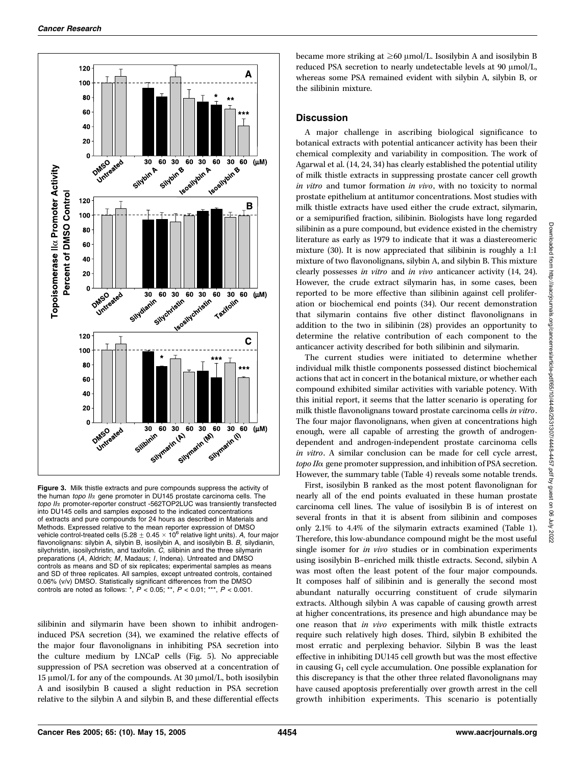

Figure 3. Milk thistle extracts and pure compounds suppress the activity of the human topo  $II\alpha$  gene promoter in DU145 prostate carcinoma cells. The topo II<sub>x</sub> promoter-reporter construct -562TOP2LUC was transiently transfected into DU145 cells and samples exposed to the indicated concentrations of extracts and pure compounds for 24 hours as described in Materials and Methods. Expressed relative to the mean reporter expression of DMSO<br>vehicle control-treated cells (5.28 ± 0.45 × 10<sup>6</sup> relative light units). *A,* four major flavonolignans: silybin A, silybin B, isosilybin A, and isosilybin B. B, silydianin, silychristin, isosilychristin, and taxifolin. C, silibinin and the three silymarin preparations (A, Aldrich; M, Madaus; I, Indena). Untreated and DMSO controls as means and SD of six replicates; experimental samples as means and SD of three replicates. All samples, except untreated controls, contained 0.06% (v/v) DMSO. Statistically significant differences from the DMSO controls are noted as follows:  $*$ ,  $P < 0.05$ ;  $**$ ,  $P < 0.01$ ;  $***$ ,  $P < 0.001$ .

silibinin and silymarin have been shown to inhibit androgeninduced PSA secretion (34), we examined the relative effects of the major four flavonolignans in inhibiting PSA secretion into the culture medium by LNCaP cells (Fig. 5). No appreciable suppression of PSA secretion was observed at a concentration of 15  $\mu$ mol/L for any of the compounds. At 30  $\mu$ mol/L, both isosilybin A and isosilybin B caused a slight reduction in PSA secretion relative to the silybin A and silybin B, and these differential effects

became more striking at  $\geq 60$  µmol/L. Isosilybin A and isosilybin B reduced PSA secretion to nearly undetectable levels at  $90 \mu \text{mol/L}$ , whereas some PSA remained evident with silybin A, silybin B, or the silibinin mixture.

# **Discussion**

A major challenge in ascribing biological significance to botanical extracts with potential anticancer activity has been their chemical complexity and variability in composition. The work of Agarwal et al. (14, 24, 34) has clearly established the potential utility of milk thistle extracts in suppressing prostate cancer cell growth in vitro and tumor formation in vivo, with no toxicity to normal prostate epithelium at antitumor concentrations. Most studies with milk thistle extracts have used either the crude extract, silymarin, or a semipurified fraction, silibinin. Biologists have long regarded silibinin as a pure compound, but evidence existed in the chemistry literature as early as 1979 to indicate that it was a diastereomeric mixture (30). It is now appreciated that silibinin is roughly a 1:1 mixture of two flavonolignans, silybin A, and silybin B. This mixture clearly possesses in vitro and in vivo anticancer activity (14, 24). However, the crude extract silymarin has, in some cases, been reported to be more effective than silibinin against cell proliferation or biochemical end points (34). Our recent demonstration that silymarin contains five other distinct flavonolignans in addition to the two in silibinin (28) provides an opportunity to determine the relative contribution of each component to the anticancer activity described for both silibinin and silymarin.

The current studies were initiated to determine whether individual milk thistle components possessed distinct biochemical actions that act in concert in the botanical mixture, or whether each compound exhibited similar activities with variable potency. With this initial report, it seems that the latter scenario is operating for milk thistle flavonolignans toward prostate carcinoma cells in vitro. The four major flavonolignans, when given at concentrations high enough, were all capable of arresting the growth of androgendependent and androgen-independent prostate carcinoma cells in vitro. A similar conclusion can be made for cell cycle arrest,  $topo$  II $\alpha$  gene promoter suppression, and inhibition of PSA secretion. However, the summary table (Table 4) reveals some notable trends.

First, isosilybin B ranked as the most potent flavonolignan for nearly all of the end points evaluated in these human prostate carcinoma cell lines. The value of isosilybin B is of interest on several fronts in that it is absent from silibinin and composes only 2.1% to 4.4% of the silymarin extracts examined (Table 1). Therefore, this low-abundance compound might be the most useful single isomer for *in vivo* studies or in combination experiments using isosilybin B–enriched milk thistle extracts. Second, silybin A was most often the least potent of the four major compounds. It composes half of silibinin and is generally the second most abundant naturally occurring constituent of crude silymarin extracts. Although silybin A was capable of causing growth arrest at higher concentrations, its presence and high abundance may be one reason that *in vivo* experiments with milk thistle extracts require such relatively high doses. Third, silybin B exhibited the most erratic and perplexing behavior. Silybin B was the least effective in inhibiting DU145 cell growth but was the most effective in causing  $G_1$  cell cycle accumulation. One possible explanation for this discrepancy is that the other three related flavonolignans may have caused apoptosis preferentially over growth arrest in the cell growth inhibition experiments. This scenario is potentially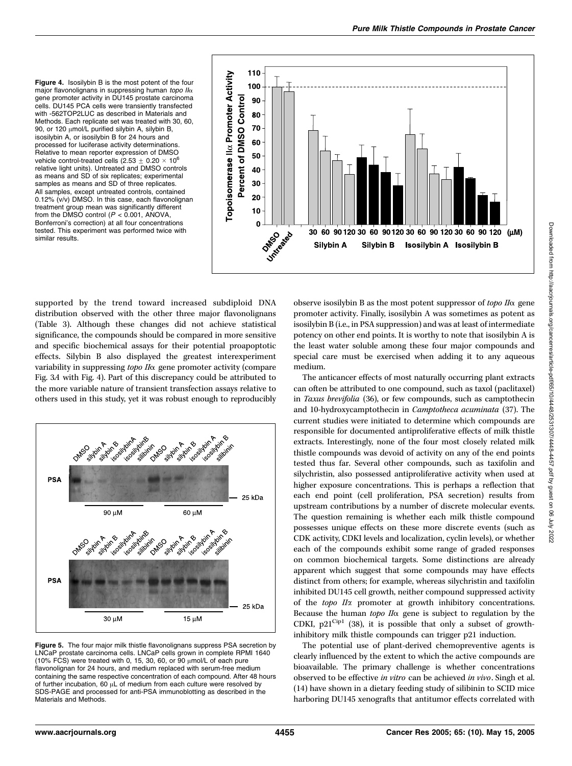Figure 4. Isosilybin B is the most potent of the four major flavonolignans in suppressing human topo  $I/\alpha$ gene promoter activity in DU145 prostate carcinoma cells. DU145 PCA cells were transiently transfected with -562TOP2LUC as described in Materials and Methods. Each replicate set was treated with 30, 60, 90, or 120  $\mu$ mol/L purified silybin A, silybin B, isosilybin A, or isosilybin B for 24 hours and processed for luciferase activity determinations. Relative to mean reporter expression of DMSO vehicle control-treated cells (2.53  $\pm$  0.20  $\times$  10<sup>6</sup> relative light units). Untreated and DMSO controls as means and SD of six replicates; experimental samples as means and SD of three replicates. All samples, except untreated controls, contained 0.12% (v/v) DMSO. In this case, each flavonolignan treatment group mean was significantly different from the DMSO control ( $P < 0.001$ , ANOVA, Bonferroni's correction) at all four concentrations tested. This experiment was performed twice with similar results.



supported by the trend toward increased subdiploid DNA distribution observed with the other three major flavonolignans (Table 3). Although these changes did not achieve statistical significance, the compounds should be compared in more sensitive and specific biochemical assays for their potential proapoptotic effects. Silybin B also displayed the greatest interexperiment variability in suppressing topo IIa gene promoter activity (compare Fig. 3A with Fig. 4). Part of this discrepancy could be attributed to the more variable nature of transient transfection assays relative to others used in this study, yet it was robust enough to reproducibly



Figure 5. The four major milk thistle flavonolignans suppress PSA secretion by LNCaP prostate carcinoma cells. LNCaP cells grown in complete RPMI 1640 (10% FCS) were treated with 0, 15, 30, 60, or 90  $\mu$ mol/L of each pure flavonolignan for 24 hours, and medium replaced with serum-free medium containing the same respective concentration of each compound. After 48 hours of further incubation, 60  $\mu$ L of medium from each culture were resolved by SDS-PAGE and processed for anti-PSA immunoblotting as described in the Materials and Methods.

observe isosilybin B as the most potent suppressor of  $topo$   $II\alpha$  gene promoter activity. Finally, isosilybin A was sometimes as potent as isosilybin B (i.e., in PSA suppression) and was at least of intermediate potency on other end points. It is worthy to note that isosilybin A is the least water soluble among these four major compounds and special care must be exercised when adding it to any aqueous medium.

The anticancer effects of most naturally occurring plant extracts can often be attributed to one compound, such as taxol (paclitaxel) in Taxus brevifolia (36), or few compounds, such as camptothecin and 10-hydroxycamptothecin in Camptotheca acuminata (37). The current studies were initiated to determine which compounds are responsible for documented antiproliferative effects of milk thistle extracts. Interestingly, none of the four most closely related milk thistle compounds was devoid of activity on any of the end points tested thus far. Several other compounds, such as taxifolin and silychristin, also possessed antiproliferative activity when used at higher exposure concentrations. This is perhaps a reflection that each end point (cell proliferation, PSA secretion) results from upstream contributions by a number of discrete molecular events. The question remaining is whether each milk thistle compound possesses unique effects on these more discrete events (such as CDK activity, CDKI levels and localization, cyclin levels), or whether each of the compounds exhibit some range of graded responses on common biochemical targets. Some distinctions are already apparent which suggest that some compounds may have effects distinct from others; for example, whereas silychristin and taxifolin inhibited DU145 cell growth, neither compound suppressed activity of the topo IIa promoter at growth inhibitory concentrations. Because the human topo  $II\alpha$  gene is subject to regulation by the CDKI,  $p21^{\text{Cip1}}$  (38), it is possible that only a subset of growthinhibitory milk thistle compounds can trigger p21 induction.

The potential use of plant-derived chemopreventive agents is clearly influenced by the extent to which the active compounds are bioavailable. The primary challenge is whether concentrations observed to be effective in vitro can be achieved in vivo. Singh et al. (14) have shown in a dietary feeding study of silibinin to SCID mice harboring DU145 xenografts that antitumor effects correlated with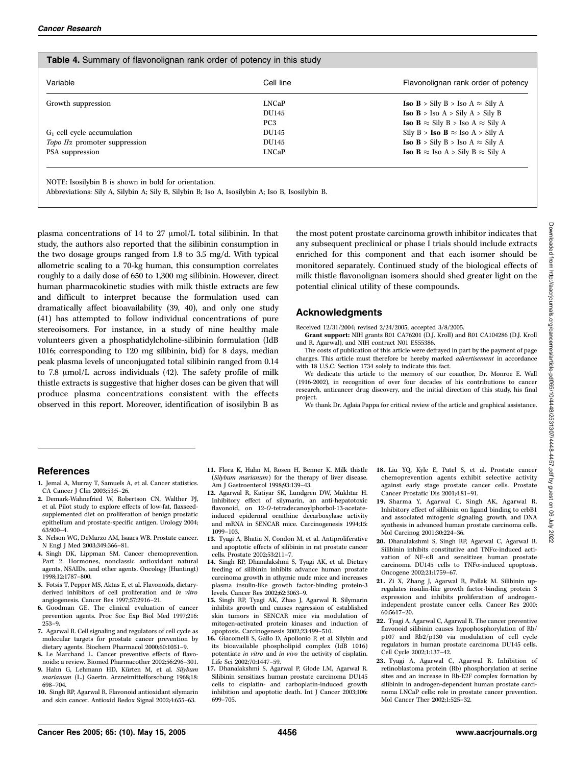| Variable                                  | Cell line       | Flavonolignan rank order of potency                    |
|-------------------------------------------|-----------------|--------------------------------------------------------|
| Growth suppression                        | <b>LNCaP</b>    | <b>Iso B</b> > Sily B > Iso A $\approx$ Sily A         |
|                                           | DU145           | <b>Iso</b> $B >$ Iso $A >$ Sily $A >$ Sily B           |
|                                           | PC <sub>3</sub> | <b>Iso B</b> $\approx$ Sily B > Iso A $\approx$ Sily A |
| $G_1$ cell cycle accumulation             | DU145           | Sily B > <b>Iso B</b> $\approx$ Iso A > Sily A         |
| Topo II <sub>x</sub> promoter suppression | DU145           | <b>Iso B</b> > Sily B > Iso A $\approx$ Sily A         |
| PSA suppression                           | <b>LNCaP</b>    | <b>Iso B</b> $\approx$ Iso A > Sily B $\approx$ Sily A |

NOTE: Isosilybin B is shown in bold for orientation.

Abbreviations: Sily A, Silybin A; Sily B, Silybin B; Iso A, Isosilybin A; Iso B, Isosilybin B.

plasma concentrations of 14 to 27  $\mu$ mol/L total silibinin. In that study, the authors also reported that the silibinin consumption in the two dosage groups ranged from 1.8 to 3.5 mg/d. With typical allometric scaling to a 70-kg human, this consumption correlates roughly to a daily dose of 650 to 1,300 mg silibinin. However, direct human pharmacokinetic studies with milk thistle extracts are few and difficult to interpret because the formulation used can dramatically affect bioavailability (39, 40), and only one study (41) has attempted to follow individual concentrations of pure stereoisomers. For instance, in a study of nine healthy male volunteers given a phosphatidylcholine-silibinin formulation (IdB 1016; corresponding to 120 mg silibinin, bid) for 8 days, median peak plasma levels of unconjugated total silibinin ranged from 0.14 to 7.8  $\mu$ mol/L across individuals (42). The safety profile of milk thistle extracts is suggestive that higher doses can be given that will produce plasma concentrations consistent with the effects observed in this report. Moreover, identification of isosilybin B as the most potent prostate carcinoma growth inhibitor indicates that any subsequent preclinical or phase I trials should include extracts enriched for this component and that each isomer should be monitored separately. Continued study of the biological effects of milk thistle flavonolignan isomers should shed greater light on the potential clinical utility of these compounds.

# Acknowledgments

Received 12/31/2004; revised 2/24/2005; accepted 3/8/2005.

Grant support: NIH grants R01 CA76201 (D.J. Kroll) and R01 CA104286 (D.J. Kroll and R. Agarwal), and NIH contract N01 ES55386.

The costs of publication of this article were defrayed in part by the payment of page charges. This article must therefore be hereby marked advertisement in accordance with 18 U.S.C. Section 1734 solely to indicate this fact.

We dedicate this article to the memory of our coauthor, Dr. Monroe E. Wall (1916-2002), in recognition of over four decades of his contributions to cancer research, anticancer drug discovery, and the initial direction of this study, his final project.

We thank Dr. Aglaia Pappa for critical review of the article and graphical assistance.

# References

- 1. Jemal A, Murray T, Samuels A, et al. Cancer statistics. CA Cancer J Clin 2003;53:5–26.
- 2. Demark-Wahnefried W, Robertson CN, Walther PJ, et al. Pilot study to explore effects of low-fat, flaxseedsupplemented diet on proliferation of benign prostatic epithelium and prostate-specific antigen. Urology 2004; 63:900–4.
- 3. Nelson WG, DeMarzo AM, Isaacs WB. Prostate cancer. N Engl J Med 2003;349:366–81.
- 4. Singh DK, Lippman SM. Cancer chemoprevention. Part 2. Hormones, nonclassic antioxidant natural agents, NSAIDs, and other agents. Oncology (Huntingt) 1998;12:1787–800.
- 5. Fotsis T, Pepper MS, Aktas E, et al. Flavonoids, dietaryderived inhibitors of cell proliferation and in vitro angiogenesis. Cancer Res 1997;57:2916–21.
- 6. Goodman GE. The clinical evaluation of cancer prevention agents. Proc Soc Exp Biol Med 1997;216: 253–9.
- 7. Agarwal R. Cell signaling and regulators of cell cycle as molecular targets for prostate cancer prevention by dietary agents. Biochem Pharmacol 2000;60:1051–9.
- 8. Le Marchand L. Cancer preventive effects of flavonoids: a review. Biomed Pharmacother 2002;56:296–301.
- 9. Hahn G, Lehmann HD, Kürten M, et al. Silybum marianum (L.) Gaertn. Arzneimittelforschung 1968;18: 698–704.
- 10. Singh RP, Agarwal R. Flavonoid antioxidant silymarin and skin cancer. Antioxid Redox Signal 2002;4:655–63.
- 11. Flora K, Hahn M, Rosen H, Benner K. Milk thistle (Silybum marianum) for the therapy of liver disease. Am J Gastroenterol 1998;93:139–43.
- 12. Agarwal R, Katiyar SK, Lundgren DW, Mukhtar H. Inhibitory effect of silymarin, an anti-hepatotoxic flavonoid, on 12-O-tetradecanoylphorbol-13-acetateinduced epidermal ornithine decarboxylase activity and mRNA in SENCAR mice. Carcinogenesis 1994;15: 1099–103.
- 13. Tyagi A, Bhatia N, Condon M, et al. Antiproliferative and apoptotic effects of silibinin in rat prostate cancer cells. Prostate 2002;53:211–7.
- 14. Singh RP, Dhanalakshmi S, Tyagi AK, et al. Dietary feeding of silibinin inhibits advance human prostate carcinoma growth in athymic nude mice and increases plasma insulin-like growth factor-binding protein-3 levels. Cancer Res 2002;62:3063–9.
- 15. Singh RP, Tyagi AK, Zhao J, Agarwal R. Silymarin inhibits growth and causes regression of established skin tumors in SENCAR mice via modulation of mitogen-activated protein kinases and induction of apoptosis. Carcinogenesis 2002;23:499–510.
- 16. Giacomelli S, Gallo D, Apollonio P, et al. Silybin and its bioavailable phospholipid complex (IdB 1016) potentiate in vitro and in vivo the activity of cisplatin. Life Sci 2002;70:1447–59.
- 17. Dhanalakshmi S, Agarwal P, Glode LM, Agarwal R. Silibinin sensitizes human prostate carcinoma DU145 cells to cisplatin- and carboplatin-induced growth inhibition and apoptotic death. Int J Cancer 2003;106: 699–705.
- 18. Liu YQ, Kyle E, Patel S, et al. Prostate cancer chemoprevention agents exhibit selective activity against early stage prostate cancer cells. Prostate Cancer Prostatic Dis 2001;4:81–91.
- 19. Sharma Y, Agarwal C, Singh AK, Agarwal R. Inhibitory effect of silibinin on ligand binding to erbB1 and associated mitogenic signaling, growth, and DNA synthesis in advanced human prostate carcinoma cells. Mol Carcinog 2001;30:224–36.
- 20. Dhanalakshmi S, Singh RP, Agarwal C, Agarwal R. Silibinin inhibits constitutive and  $TNF\alpha$ -induced activation of NF-nB and sensitizes human prostate carcinoma DU145 cells to  $TNF\alpha$ -induced apoptosis. Oncogene 2002;21:1759–67.
- 21. Zi X, Zhang J, Agarwal R, Pollak M. Silibinin upregulates insulin-like growth factor-binding protein 3 expression and inhibits proliferation of androgenindependent prostate cancer cells. Cancer Res 2000; 60:5617–20.
- 22. Tyagi A, Agarwal C, Agarwal R. The cancer preventive flavonoid silibinin causes hypophosphorylation of Rb/ p107 and Rb2/p130 via modulation of cell cycle regulators in human prostate carcinoma DU145 cells. Cell Cycle 2002;1:137–42.
- 23. Tyagi A, Agarwal C, Agarwal R. Inhibition of retinoblastoma protein (Rb) phosphorylation at serine sites and an increase in Rb-E2F complex formation by silibinin in androgen-dependent human prostate carcinoma LNCaP cells: role in prostate cancer prevention. Mol Cancer Ther 2002;1:525–32.